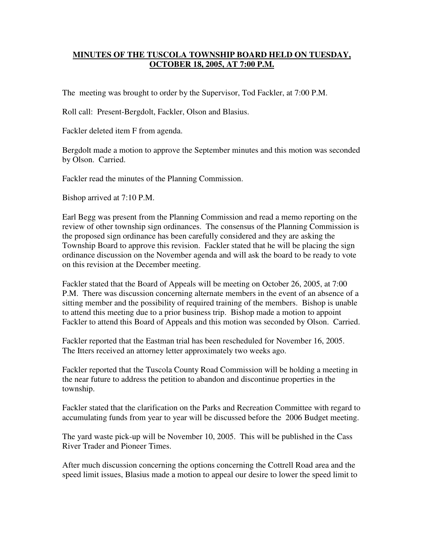## **MINUTES OF THE TUSCOLA TOWNSHIP BOARD HELD ON TUESDAY, OCTOBER 18, 2005, AT 7:00 P.M.**

The meeting was brought to order by the Supervisor, Tod Fackler, at 7:00 P.M.

Roll call: Present-Bergdolt, Fackler, Olson and Blasius.

Fackler deleted item F from agenda.

Bergdolt made a motion to approve the September minutes and this motion was seconded by Olson. Carried.

Fackler read the minutes of the Planning Commission.

Bishop arrived at 7:10 P.M.

Earl Begg was present from the Planning Commission and read a memo reporting on the review of other township sign ordinances. The consensus of the Planning Commission is the proposed sign ordinance has been carefully considered and they are asking the Township Board to approve this revision. Fackler stated that he will be placing the sign ordinance discussion on the November agenda and will ask the board to be ready to vote on this revision at the December meeting.

Fackler stated that the Board of Appeals will be meeting on October 26, 2005, at 7:00 P.M. There was discussion concerning alternate members in the event of an absence of a sitting member and the possibility of required training of the members. Bishop is unable to attend this meeting due to a prior business trip. Bishop made a motion to appoint Fackler to attend this Board of Appeals and this motion was seconded by Olson. Carried.

Fackler reported that the Eastman trial has been rescheduled for November 16, 2005. The Itters received an attorney letter approximately two weeks ago.

Fackler reported that the Tuscola County Road Commission will be holding a meeting in the near future to address the petition to abandon and discontinue properties in the township.

Fackler stated that the clarification on the Parks and Recreation Committee with regard to accumulating funds from year to year will be discussed before the 2006 Budget meeting.

The yard waste pick-up will be November 10, 2005. This will be published in the Cass River Trader and Pioneer Times.

After much discussion concerning the options concerning the Cottrell Road area and the speed limit issues, Blasius made a motion to appeal our desire to lower the speed limit to